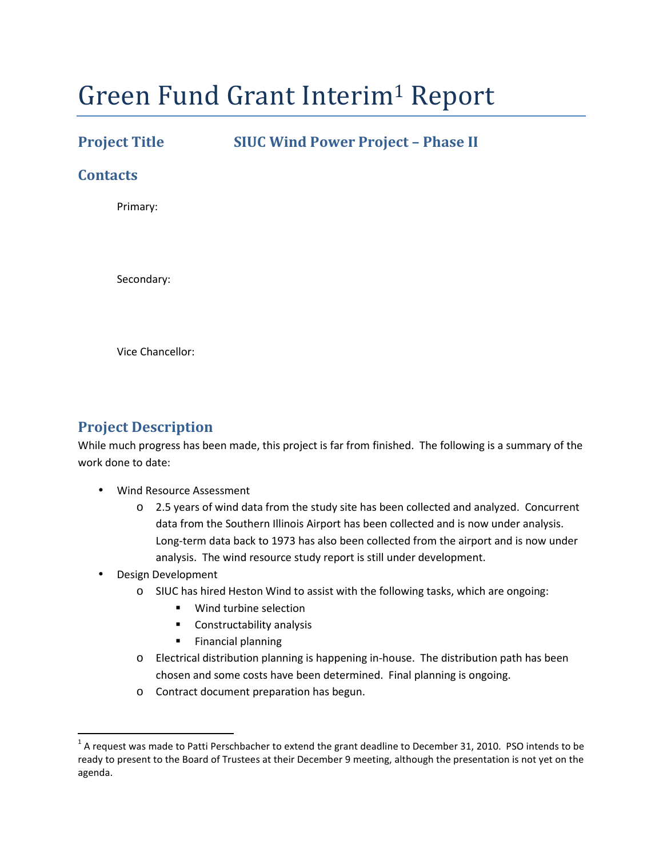# Green Fund Grant Interim1 Report

**Project Title SIUC Wind Power Project – Phase II** 

#### **Contacts**

Primary:

Secondary:

Vice Chancellor:

#### **Project Description**

While much progress has been made, this project is far from finished. The following is a summary of the work done to date:

- Wind Resource Assessment
	- $\circ$  2.5 years of wind data from the study site has been collected and analyzed. Concurrent data from the Southern Illinois Airport has been collected and is now under analysis. Long-term data back to 1973 has also been collected from the airport and is now under analysis. The wind resource study report is still under development.
- Design Development
	- $\circ$  SIUC has hired Heston Wind to assist with the following tasks, which are ongoing:
		- Wind turbine selection
		- **Constructability analysis**
		- **Financial planning**
	- o Electrical distribution planning is happening in-house. The distribution path has been chosen and some costs have been determined. Final planning is ongoing.
	- o Contract document preparation has begun.

 $^1$  A request was made to Patti Perschbacher to extend the grant deadline to December 31, 2010. PSO intends to be ready to present to the Board of Trustees at their December 9 meeting, although the presentation is not yet on the agenda.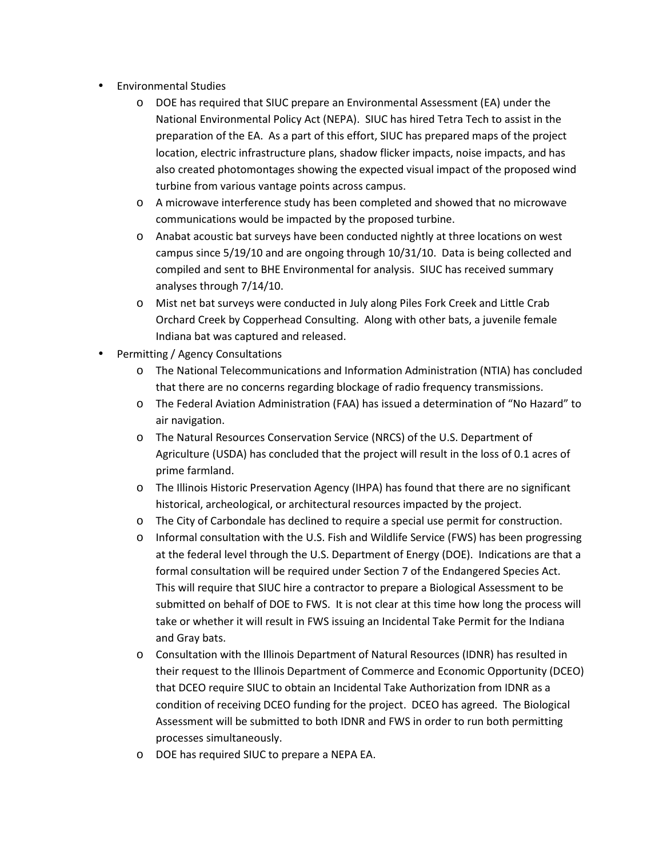- Environmental Studies
	- o DOE has required that SIUC prepare an Environmental Assessment (EA) under the National Environmental Policy Act (NEPA). SIUC has hired Tetra Tech to assist in the preparation of the EA. As a part of this effort, SIUC has prepared maps of the project location, electric infrastructure plans, shadow flicker impacts, noise impacts, and has also created photomontages showing the expected visual impact of the proposed wind turbine from various vantage points across campus.
	- o A microwave interference study has been completed and showed that no microwave communications would be impacted by the proposed turbine.
	- o Anabat acoustic bat surveys have been conducted nightly at three locations on west campus since 5/19/10 and are ongoing through 10/31/10. Data is being collected and compiled and sent to BHE Environmental for analysis. SIUC has received summary analyses through 7/14/10.
	- o Mist net bat surveys were conducted in July along Piles Fork Creek and Little Crab Orchard Creek by Copperhead Consulting. Along with other bats, a juvenile female Indiana bat was captured and released.
- Permitting / Agency Consultations
	- o The National Telecommunications and Information Administration (NTIA) has concluded that there are no concerns regarding blockage of radio frequency transmissions.
	- o The Federal Aviation Administration (FAA) has issued a determination of "No Hazard" to air navigation.
	- o The Natural Resources Conservation Service (NRCS) of the U.S. Department of Agriculture (USDA) has concluded that the project will result in the loss of 0.1 acres of prime farmland.
	- o The Illinois Historic Preservation Agency (IHPA) has found that there are no significant historical, archeological, or architectural resources impacted by the project.
	- o The City of Carbondale has declined to require a special use permit for construction.
	- o Informal consultation with the U.S. Fish and Wildlife Service (FWS) has been progressing at the federal level through the U.S. Department of Energy (DOE). Indications are that a formal consultation will be required under Section 7 of the Endangered Species Act. This will require that SIUC hire a contractor to prepare a Biological Assessment to be submitted on behalf of DOE to FWS. It is not clear at this time how long the process will take or whether it will result in FWS issuing an Incidental Take Permit for the Indiana and Gray bats.
	- o Consultation with the Illinois Department of Natural Resources (IDNR) has resulted in their request to the Illinois Department of Commerce and Economic Opportunity (DCEO) that DCEO require SIUC to obtain an Incidental Take Authorization from IDNR as a condition of receiving DCEO funding for the project. DCEO has agreed. The Biological Assessment will be submitted to both IDNR and FWS in order to run both permitting processes simultaneously.
	- o DOE has required SIUC to prepare a NEPA EA.